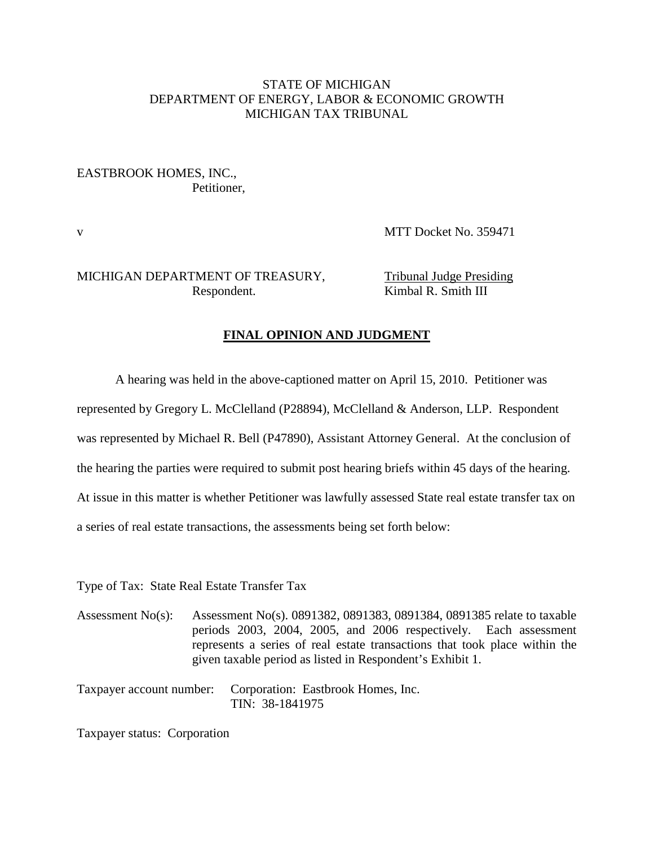### STATE OF MICHIGAN DEPARTMENT OF ENERGY, LABOR & ECONOMIC GROWTH MICHIGAN TAX TRIBUNAL

### EASTBROOK HOMES, INC., Petitioner,

v MTT Docket No. 359471

### MICHIGAN DEPARTMENT OF TREASURY, Tribunal Judge Presiding Respondent. Kimbal R. Smith III

## **FINAL OPINION AND JUDGMENT**

A hearing was held in the above-captioned matter on April 15, 2010. Petitioner was

represented by Gregory L. McClelland (P28894), McClelland & Anderson, LLP. Respondent

was represented by Michael R. Bell (P47890), Assistant Attorney General. At the conclusion of

the hearing the parties were required to submit post hearing briefs within 45 days of the hearing.

At issue in this matter is whether Petitioner was lawfully assessed State real estate transfer tax on

a series of real estate transactions, the assessments being set forth below:

Type of Tax: State Real Estate Transfer Tax

Assessment No(s): Assessment No(s). 0891382, 0891383, 0891384, 0891385 relate to taxable periods 2003, 2004, 2005, and 2006 respectively. Each assessment represents a series of real estate transactions that took place within the given taxable period as listed in Respondent's Exhibit 1.

Taxpayer account number: Corporation: Eastbrook Homes, Inc. TIN: 38-1841975

Taxpayer status: Corporation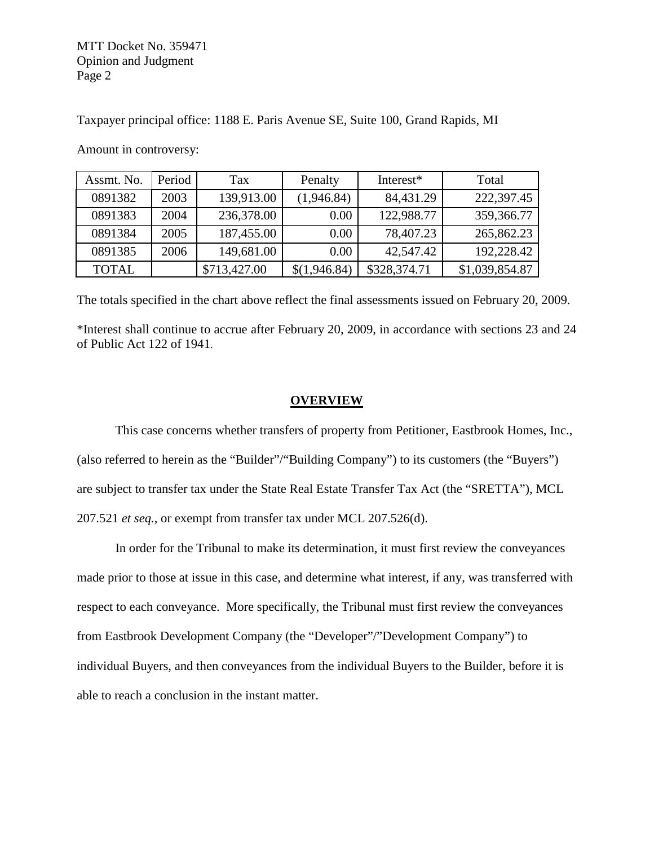Taxpayer principal office: 1188 E. Paris Avenue SE, Suite 100, Grand Rapids, MI

Assmt. No. | Period | Tax | Penalty | Interest<sup>\*</sup> | Total 0891382 | 2003 | 139,913.00 | (1,946.84) | 84,431.29 | 222,397.45 0891383 | 2004 | 236,378.00 | 0.00 | 122,988.77 | 359,366.77 0891384 | 2005 | 187,455.00 | 0.00 | 78,407.23 | 265,862.23 0891385 | 2006 | 149,681.00 | 0.00 | 42,547.42 | 192,228.42 TOTAL \$713,427.00 \$(1,946.84) \$328,374.71 \$1,039,854.87

Amount in controversy:

The totals specified in the chart above reflect the final assessments issued on February 20, 2009.

\*Interest shall continue to accrue after February 20, 2009, in accordance with sections 23 and 24 of Public Act 122 of 1941.

#### **OVERVIEW**

This case concerns whether transfers of property from Petitioner, Eastbrook Homes, Inc., (also referred to herein as the "Builder"/"Building Company") to its customers (the "Buyers") are subject to transfer tax under the State Real Estate Transfer Tax Act (the "SRETTA"), MCL 207.521 *et seq.*, or exempt from transfer tax under MCL 207.526(d).

In order for the Tribunal to make its determination, it must first review the conveyances made prior to those at issue in this case, and determine what interest, if any, was transferred with respect to each conveyance. More specifically, the Tribunal must first review the conveyances from Eastbrook Development Company (the "Developer"/"Development Company") to individual Buyers, and then conveyances from the individual Buyers to the Builder, before it is able to reach a conclusion in the instant matter.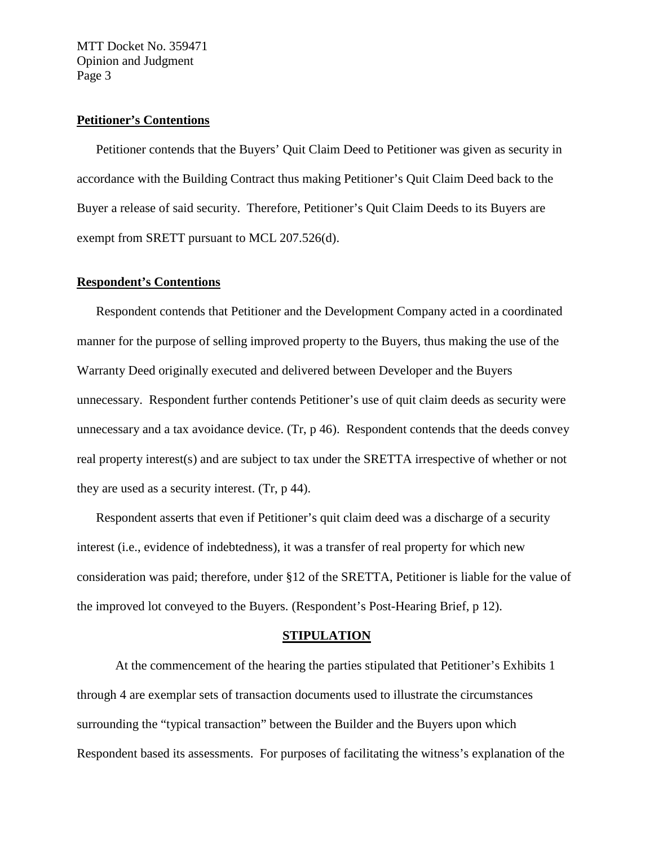### **Petitioner's Contentions**

Petitioner contends that the Buyers' Quit Claim Deed to Petitioner was given as security in accordance with the Building Contract thus making Petitioner's Quit Claim Deed back to the Buyer a release of said security. Therefore, Petitioner's Quit Claim Deeds to its Buyers are exempt from SRETT pursuant to MCL 207.526(d).

#### **Respondent's Contentions**

Respondent contends that Petitioner and the Development Company acted in a coordinated manner for the purpose of selling improved property to the Buyers, thus making the use of the Warranty Deed originally executed and delivered between Developer and the Buyers unnecessary. Respondent further contends Petitioner's use of quit claim deeds as security were unnecessary and a tax avoidance device. (Tr, p 46). Respondent contends that the deeds convey real property interest(s) and are subject to tax under the SRETTA irrespective of whether or not they are used as a security interest. (Tr, p 44).

Respondent asserts that even if Petitioner's quit claim deed was a discharge of a security interest (i.e., evidence of indebtedness), it was a transfer of real property for which new consideration was paid; therefore, under §12 of the SRETTA, Petitioner is liable for the value of the improved lot conveyed to the Buyers. (Respondent's Post-Hearing Brief, p 12).

#### **STIPULATION**

At the commencement of the hearing the parties stipulated that Petitioner's Exhibits 1 through 4 are exemplar sets of transaction documents used to illustrate the circumstances surrounding the "typical transaction" between the Builder and the Buyers upon which Respondent based its assessments. For purposes of facilitating the witness's explanation of the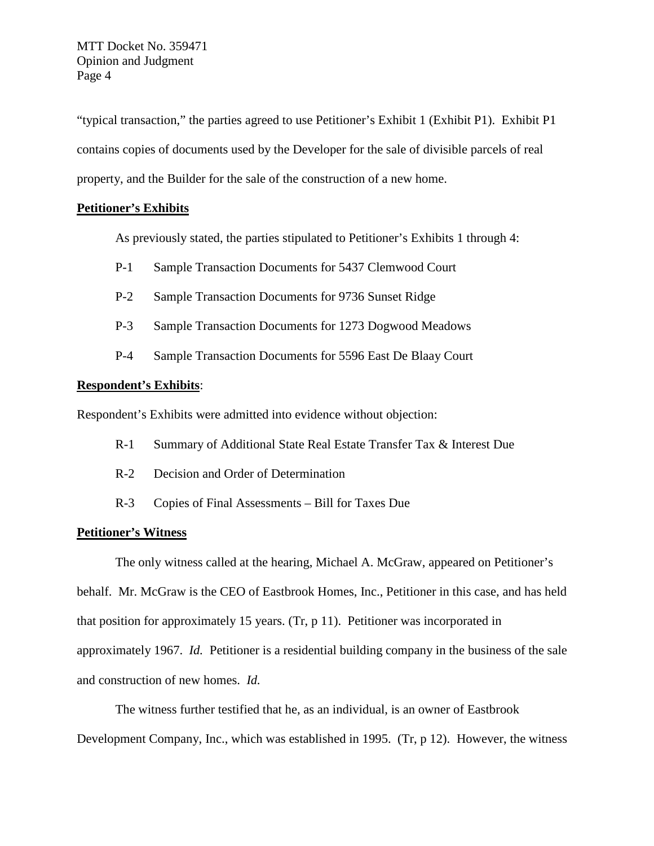"typical transaction," the parties agreed to use Petitioner's Exhibit 1 (Exhibit P1). Exhibit P1 contains copies of documents used by the Developer for the sale of divisible parcels of real property, and the Builder for the sale of the construction of a new home.

### **Petitioner's Exhibits**

As previously stated, the parties stipulated to Petitioner's Exhibits 1 through 4:

- P-1 Sample Transaction Documents for 5437 Clemwood Court
- P-2 Sample Transaction Documents for 9736 Sunset Ridge
- P-3 Sample Transaction Documents for 1273 Dogwood Meadows
- P-4 Sample Transaction Documents for 5596 East De Blaay Court

#### **Respondent's Exhibits**:

Respondent's Exhibits were admitted into evidence without objection:

- R-1 Summary of Additional State Real Estate Transfer Tax & Interest Due
- R-2 Decision and Order of Determination
- R-3 Copies of Final Assessments Bill for Taxes Due

### **Petitioner's Witness**

The only witness called at the hearing, Michael A. McGraw, appeared on Petitioner's behalf. Mr. McGraw is the CEO of Eastbrook Homes, Inc., Petitioner in this case, and has held that position for approximately 15 years. (Tr, p 11). Petitioner was incorporated in approximately 1967. *Id.* Petitioner is a residential building company in the business of the sale and construction of new homes. *Id.*

The witness further testified that he, as an individual, is an owner of Eastbrook Development Company, Inc., which was established in 1995. (Tr, p 12). However, the witness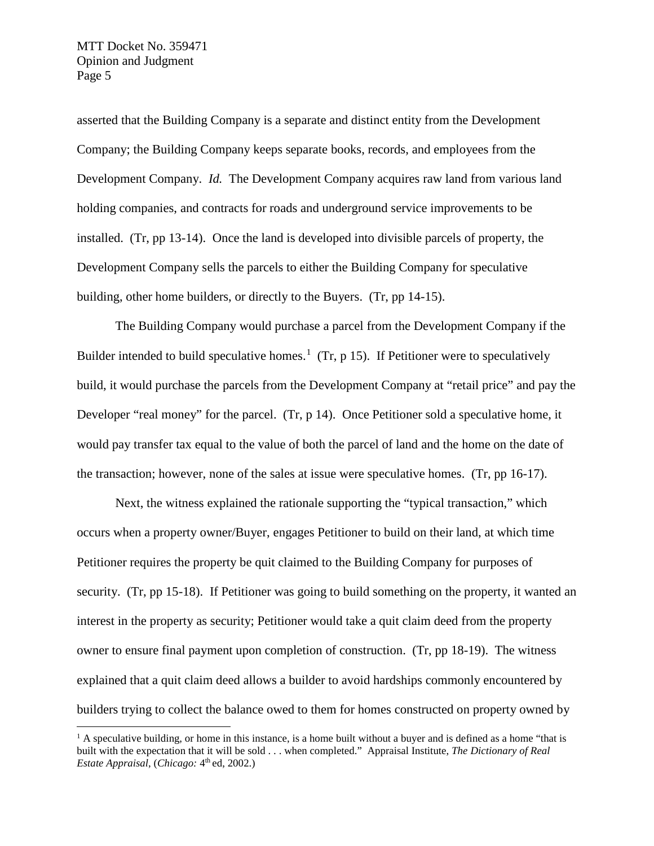asserted that the Building Company is a separate and distinct entity from the Development Company; the Building Company keeps separate books, records, and employees from the Development Company. *Id.* The Development Company acquires raw land from various land holding companies, and contracts for roads and underground service improvements to be installed. (Tr, pp 13-14). Once the land is developed into divisible parcels of property, the Development Company sells the parcels to either the Building Company for speculative building, other home builders, or directly to the Buyers. (Tr, pp 14-15).

The Building Company would purchase a parcel from the Development Company if the Builder intended to build speculative homes.<sup>[1](#page-4-0)</sup> (Tr, p 15). If Petitioner were to speculatively build, it would purchase the parcels from the Development Company at "retail price" and pay the Developer "real money" for the parcel. (Tr, p 14). Once Petitioner sold a speculative home, it would pay transfer tax equal to the value of both the parcel of land and the home on the date of the transaction; however, none of the sales at issue were speculative homes. (Tr, pp 16-17).

Next, the witness explained the rationale supporting the "typical transaction," which occurs when a property owner/Buyer, engages Petitioner to build on their land, at which time Petitioner requires the property be quit claimed to the Building Company for purposes of security. (Tr, pp 15-18). If Petitioner was going to build something on the property, it wanted an interest in the property as security; Petitioner would take a quit claim deed from the property owner to ensure final payment upon completion of construction. (Tr, pp 18-19). The witness explained that a quit claim deed allows a builder to avoid hardships commonly encountered by builders trying to collect the balance owed to them for homes constructed on property owned by

<span id="page-4-0"></span> $<sup>1</sup>$  A speculative building, or home in this instance, is a home built without a buyer and is defined as a home "that is</sup> built with the expectation that it will be sold . . . when completed." Appraisal Institute, *The Dictionary of Real Estate Appraisal, (Chicago: 4<sup>th</sup> ed, 2002.)*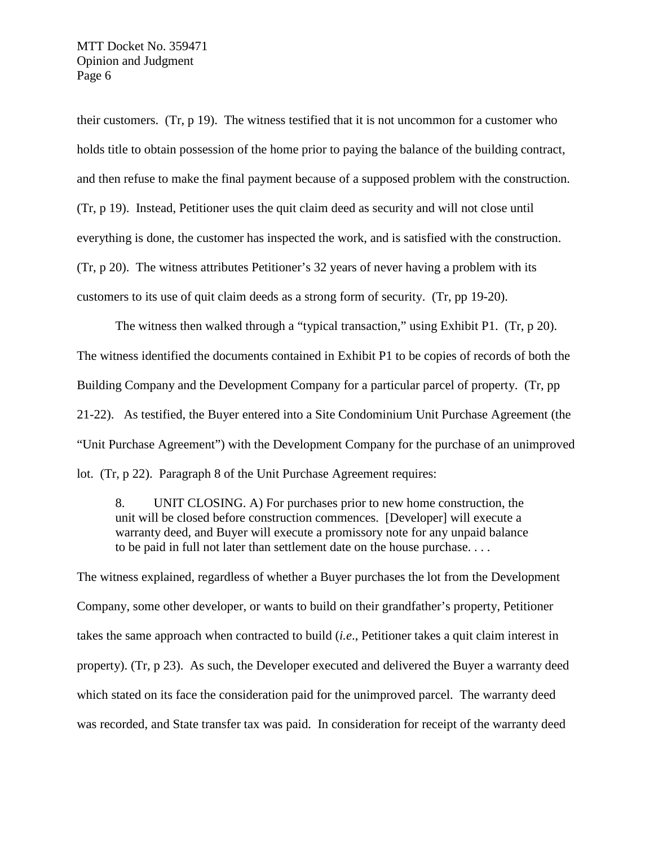their customers. (Tr, p 19). The witness testified that it is not uncommon for a customer who holds title to obtain possession of the home prior to paying the balance of the building contract, and then refuse to make the final payment because of a supposed problem with the construction. (Tr, p 19). Instead, Petitioner uses the quit claim deed as security and will not close until everything is done, the customer has inspected the work, and is satisfied with the construction. (Tr, p 20). The witness attributes Petitioner's 32 years of never having a problem with its customers to its use of quit claim deeds as a strong form of security. (Tr, pp 19-20).

The witness then walked through a "typical transaction," using Exhibit P1. (Tr, p 20). The witness identified the documents contained in Exhibit P1 to be copies of records of both the Building Company and the Development Company for a particular parcel of property. (Tr, pp 21-22). As testified, the Buyer entered into a Site Condominium Unit Purchase Agreement (the "Unit Purchase Agreement") with the Development Company for the purchase of an unimproved lot. (Tr, p 22). Paragraph 8 of the Unit Purchase Agreement requires:

8. UNIT CLOSING. A) For purchases prior to new home construction, the unit will be closed before construction commences. [Developer] will execute a warranty deed, and Buyer will execute a promissory note for any unpaid balance to be paid in full not later than settlement date on the house purchase. . . .

The witness explained, regardless of whether a Buyer purchases the lot from the Development Company, some other developer, or wants to build on their grandfather's property, Petitioner takes the same approach when contracted to build (*i.e*., Petitioner takes a quit claim interest in property). (Tr, p 23). As such, the Developer executed and delivered the Buyer a warranty deed which stated on its face the consideration paid for the unimproved parcel. The warranty deed was recorded, and State transfer tax was paid. In consideration for receipt of the warranty deed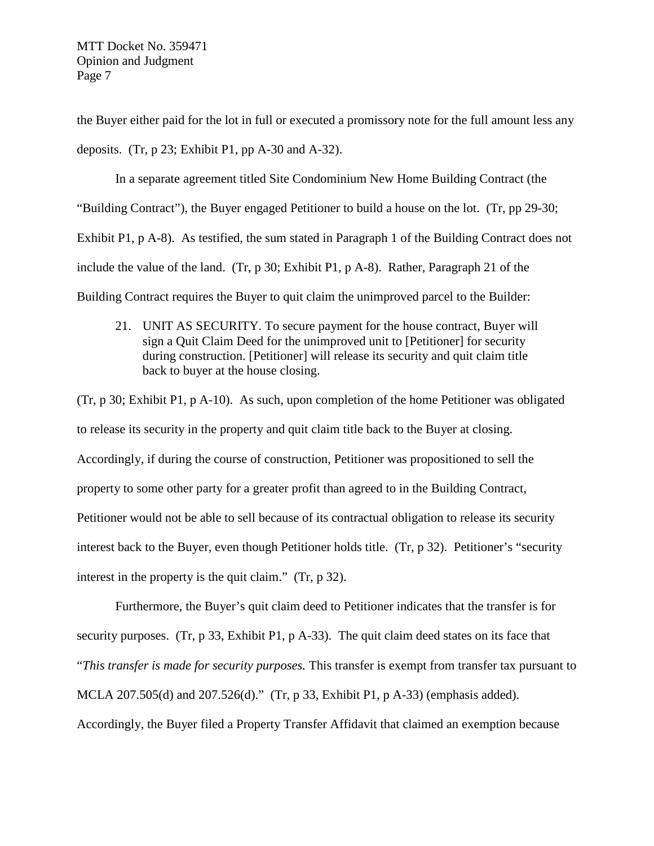the Buyer either paid for the lot in full or executed a promissory note for the full amount less any deposits. (Tr, p 23; Exhibit P1, pp A-30 and A-32).

In a separate agreement titled Site Condominium New Home Building Contract (the "Building Contract"), the Buyer engaged Petitioner to build a house on the lot. (Tr, pp 29-30; Exhibit P1, p A-8). As testified, the sum stated in Paragraph 1 of the Building Contract does not include the value of the land. (Tr, p 30; Exhibit P1, p A-8). Rather, Paragraph 21 of the Building Contract requires the Buyer to quit claim the unimproved parcel to the Builder:

21. UNIT AS SECURITY. To secure payment for the house contract, Buyer will sign a Quit Claim Deed for the unimproved unit to [Petitioner] for security during construction. [Petitioner] will release its security and quit claim title back to buyer at the house closing.

(Tr, p 30; Exhibit P1, p A-10). As such, upon completion of the home Petitioner was obligated to release its security in the property and quit claim title back to the Buyer at closing. Accordingly, if during the course of construction, Petitioner was propositioned to sell the property to some other party for a greater profit than agreed to in the Building Contract, Petitioner would not be able to sell because of its contractual obligation to release its security interest back to the Buyer, even though Petitioner holds title. (Tr, p 32). Petitioner's "security interest in the property is the quit claim." (Tr, p 32).

Furthermore, the Buyer's quit claim deed to Petitioner indicates that the transfer is for security purposes. (Tr, p 33, Exhibit P1, p A-33). The quit claim deed states on its face that "*This transfer is made for security purposes.* This transfer is exempt from transfer tax pursuant to MCLA 207.505(d) and 207.526(d)." (Tr, p 33, Exhibit P1, p A-33) (emphasis added). Accordingly, the Buyer filed a Property Transfer Affidavit that claimed an exemption because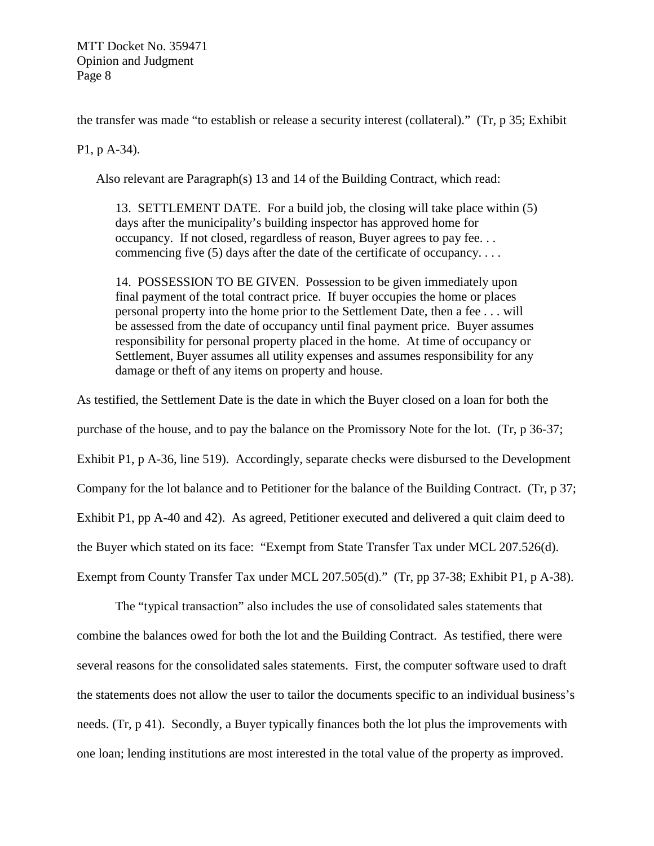the transfer was made "to establish or release a security interest (collateral)." (Tr, p 35; Exhibit

P1, p A-34).

Also relevant are Paragraph(s) 13 and 14 of the Building Contract, which read:

13. SETTLEMENT DATE. For a build job, the closing will take place within (5) days after the municipality's building inspector has approved home for occupancy. If not closed, regardless of reason, Buyer agrees to pay fee. . . commencing five (5) days after the date of the certificate of occupancy....

14. POSSESSION TO BE GIVEN. Possession to be given immediately upon final payment of the total contract price. If buyer occupies the home or places personal property into the home prior to the Settlement Date, then a fee . . . will be assessed from the date of occupancy until final payment price. Buyer assumes responsibility for personal property placed in the home. At time of occupancy or Settlement, Buyer assumes all utility expenses and assumes responsibility for any damage or theft of any items on property and house.

As testified, the Settlement Date is the date in which the Buyer closed on a loan for both the purchase of the house, and to pay the balance on the Promissory Note for the lot. (Tr, p 36-37; Exhibit P1, p A-36, line 519). Accordingly, separate checks were disbursed to the Development Company for the lot balance and to Petitioner for the balance of the Building Contract. (Tr, p 37; Exhibit P1, pp A-40 and 42). As agreed, Petitioner executed and delivered a quit claim deed to the Buyer which stated on its face: "Exempt from State Transfer Tax under MCL 207.526(d). Exempt from County Transfer Tax under MCL 207.505(d)." (Tr, pp 37-38; Exhibit P1, p A-38).

The "typical transaction" also includes the use of consolidated sales statements that combine the balances owed for both the lot and the Building Contract. As testified, there were several reasons for the consolidated sales statements. First, the computer software used to draft the statements does not allow the user to tailor the documents specific to an individual business's needs. (Tr, p 41). Secondly, a Buyer typically finances both the lot plus the improvements with one loan; lending institutions are most interested in the total value of the property as improved.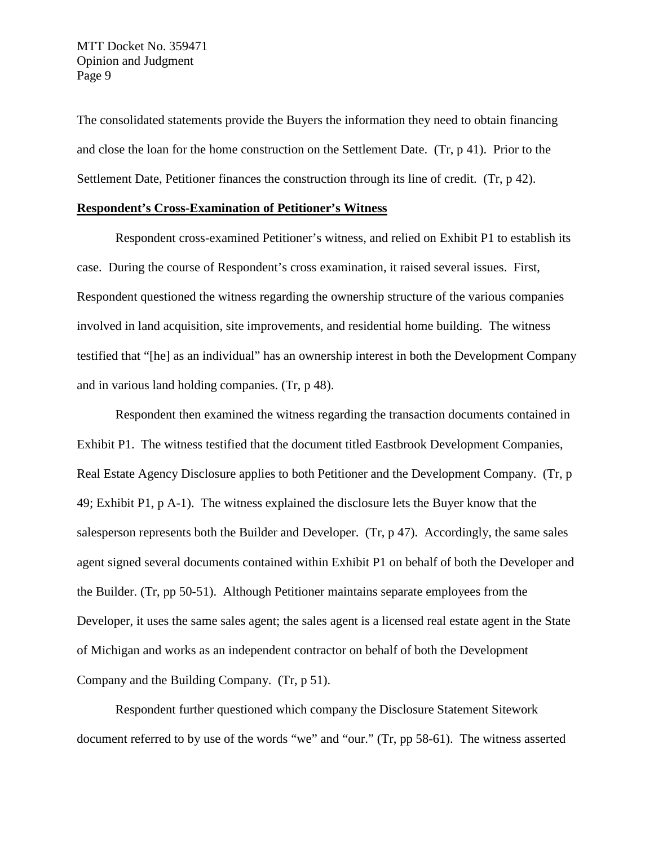The consolidated statements provide the Buyers the information they need to obtain financing and close the loan for the home construction on the Settlement Date. (Tr, p 41). Prior to the Settlement Date, Petitioner finances the construction through its line of credit. (Tr, p 42).

#### **Respondent's Cross-Examination of Petitioner's Witness**

Respondent cross-examined Petitioner's witness, and relied on Exhibit P1 to establish its case. During the course of Respondent's cross examination, it raised several issues. First, Respondent questioned the witness regarding the ownership structure of the various companies involved in land acquisition, site improvements, and residential home building. The witness testified that "[he] as an individual" has an ownership interest in both the Development Company and in various land holding companies. (Tr, p 48).

Respondent then examined the witness regarding the transaction documents contained in Exhibit P1. The witness testified that the document titled Eastbrook Development Companies, Real Estate Agency Disclosure applies to both Petitioner and the Development Company. (Tr, p 49; Exhibit P1, p A-1). The witness explained the disclosure lets the Buyer know that the salesperson represents both the Builder and Developer. (Tr, p 47). Accordingly, the same sales agent signed several documents contained within Exhibit P1 on behalf of both the Developer and the Builder. (Tr, pp 50-51). Although Petitioner maintains separate employees from the Developer, it uses the same sales agent; the sales agent is a licensed real estate agent in the State of Michigan and works as an independent contractor on behalf of both the Development Company and the Building Company. (Tr, p 51).

Respondent further questioned which company the Disclosure Statement Sitework document referred to by use of the words "we" and "our." (Tr, pp 58-61). The witness asserted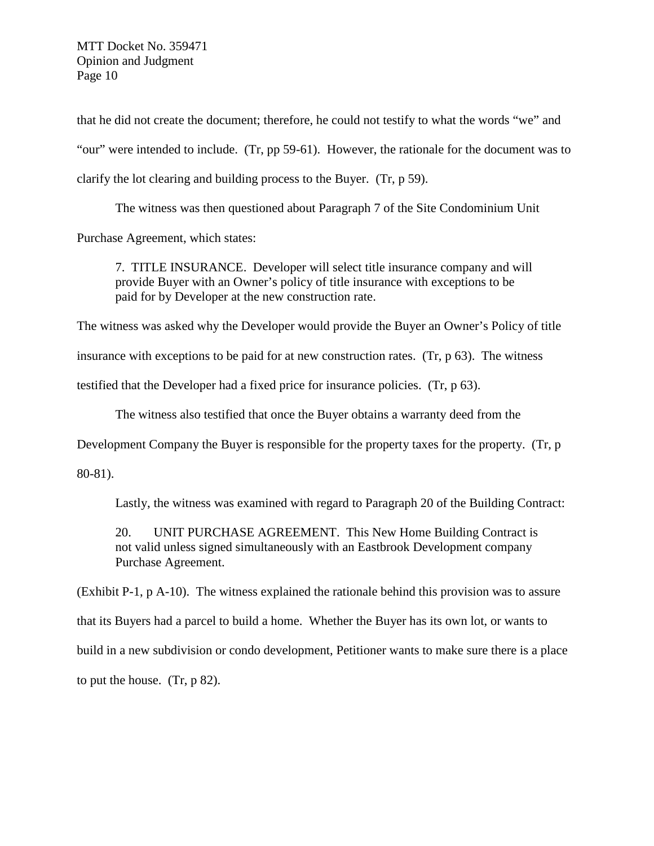that he did not create the document; therefore, he could not testify to what the words "we" and "our" were intended to include. (Tr, pp 59-61). However, the rationale for the document was to clarify the lot clearing and building process to the Buyer. (Tr, p 59).

The witness was then questioned about Paragraph 7 of the Site Condominium Unit

Purchase Agreement, which states:

7. TITLE INSURANCE. Developer will select title insurance company and will provide Buyer with an Owner's policy of title insurance with exceptions to be paid for by Developer at the new construction rate.

The witness was asked why the Developer would provide the Buyer an Owner's Policy of title

insurance with exceptions to be paid for at new construction rates. (Tr, p 63). The witness

testified that the Developer had a fixed price for insurance policies. (Tr, p 63).

The witness also testified that once the Buyer obtains a warranty deed from the

Development Company the Buyer is responsible for the property taxes for the property. (Tr, p

80-81).

Lastly, the witness was examined with regard to Paragraph 20 of the Building Contract:

20. UNIT PURCHASE AGREEMENT. This New Home Building Contract is not valid unless signed simultaneously with an Eastbrook Development company Purchase Agreement.

(Exhibit P-1, p A-10). The witness explained the rationale behind this provision was to assure that its Buyers had a parcel to build a home. Whether the Buyer has its own lot, or wants to build in a new subdivision or condo development, Petitioner wants to make sure there is a place to put the house. (Tr, p 82).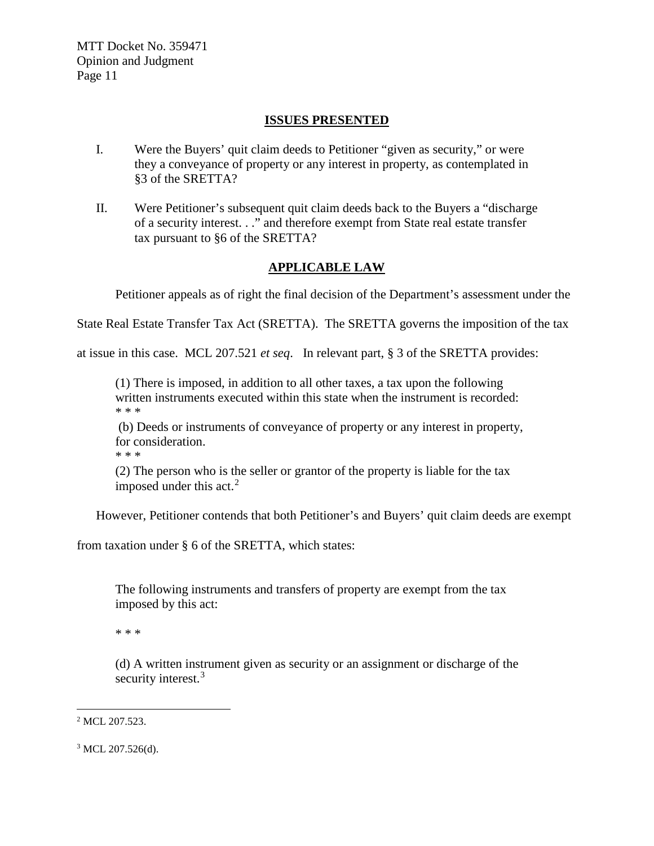### **ISSUES PRESENTED**

- I. Were the Buyers' quit claim deeds to Petitioner "given as security," or were they a conveyance of property or any interest in property, as contemplated in §3 of the SRETTA?
- II. Were Petitioner's subsequent quit claim deeds back to the Buyers a "discharge of a security interest. . ." and therefore exempt from State real estate transfer tax pursuant to §6 of the SRETTA?

## **APPLICABLE LAW**

Petitioner appeals as of right the final decision of the Department's assessment under the

State Real Estate Transfer Tax Act (SRETTA). The SRETTA governs the imposition of the tax

at issue in this case. MCL 207.521 *et seq*. In relevant part, § 3 of the SRETTA provides:

(1) There is imposed, in addition to all other taxes, a tax upon the following written instruments executed within this state when the instrument is recorded: \* \* \*

(b) Deeds or instruments of conveyance of property or any interest in property, for consideration.

\* \* \*

(2) The person who is the seller or grantor of the property is liable for the tax imposed under this act. $2$ 

However, Petitioner contends that both Petitioner's and Buyers' quit claim deeds are exempt

from taxation under § 6 of the SRETTA, which states:

The following instruments and transfers of property are exempt from the tax imposed by this act:

\* \* \*

(d) A written instrument given as security or an assignment or discharge of the security interest.<sup>[3](#page-10-1)</sup>

<span id="page-10-0"></span><sup>&</sup>lt;sup>2</sup> MCL 207.523.

<span id="page-10-1"></span><sup>&</sup>lt;sup>3</sup> MCL 207.526(d).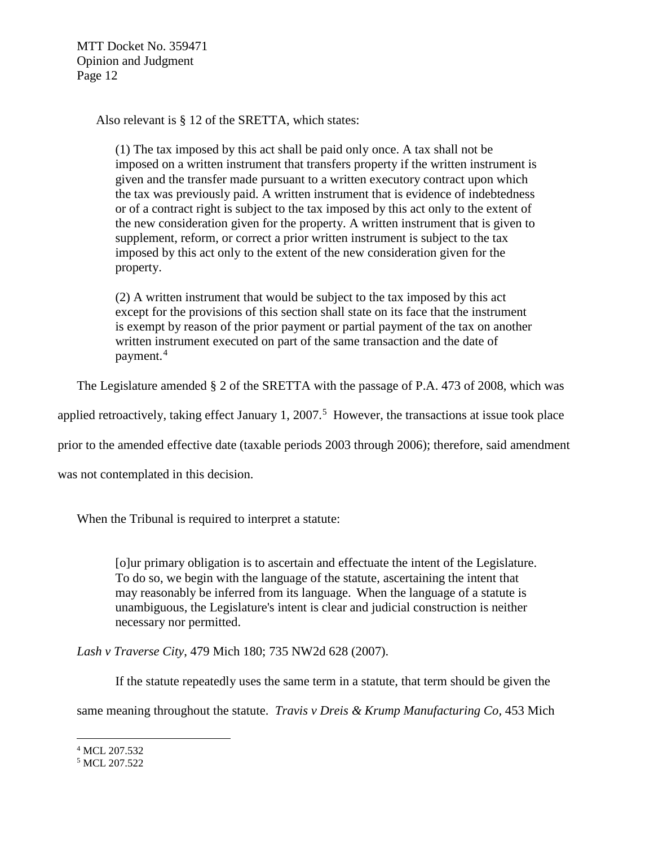Also relevant is § 12 of the SRETTA, which states:

(1) The tax imposed by this act shall be paid only once. A tax shall not be imposed on a written instrument that transfers property if the written instrument is given and the transfer made pursuant to a written executory contract upon which the tax was previously paid. A written instrument that is evidence of indebtedness or of a contract right is subject to the tax imposed by this act only to the extent of the new consideration given for the property. A written instrument that is given to supplement, reform, or correct a prior written instrument is subject to the tax imposed by this act only to the extent of the new consideration given for the property.

(2) A written instrument that would be subject to the tax imposed by this act except for the provisions of this section shall state on its face that the instrument is exempt by reason of the prior payment or partial payment of the tax on another written instrument executed on part of the same transaction and the date of payment.<sup>[4](#page-11-0)</sup>

The Legislature amended § 2 of the SRETTA with the passage of P.A. 473 of 2008, which was

applied retroactively, taking effect January 1, 2007. [5](#page-11-1) However, the transactions at issue took place

prior to the amended effective date (taxable periods 2003 through 2006); therefore, said amendment

was not contemplated in this decision.

When the Tribunal is required to interpret a statute:

[o]ur primary obligation is to ascertain and effectuate the intent of the Legislature. To do so, we begin with the language of the statute, ascertaining the intent that may reasonably be inferred from its language. When the language of a statute is unambiguous, the Legislature's intent is clear and judicial construction is neither necessary nor permitted.

*Lash v Traverse City*, 479 Mich 180; 735 NW2d 628 (2007).

If the statute repeatedly uses the same term in a statute, that term should be given the

same meaning throughout the statute. *Travis v Dreis & Krump Manufacturing Co,* 453 Mich

<span id="page-11-0"></span> <sup>4</sup> MCL 207.532

<span id="page-11-1"></span><sup>5</sup> MCL 207.522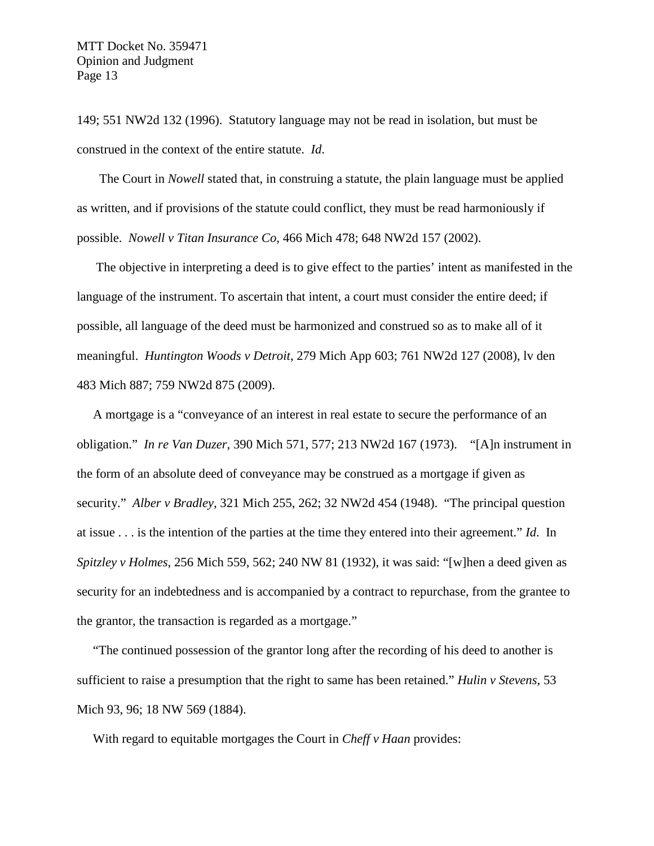149; 551 NW2d 132 (1996). Statutory language may not be read in isolation, but must be construed in the context of the entire statute. *Id*.

The Court in *Nowell* stated that, in construing a statute, the plain language must be applied as written, and if provisions of the statute could conflict, they must be read harmoniously if possible. *Nowell v Titan Insurance Co,* 466 Mich 478; 648 NW2d 157 (2002).

The objective in interpreting a deed is to give effect to the parties' intent as manifested in the language of the instrument. To ascertain that intent, a court must consider the entire deed; if possible, all language of the deed must be harmonized and construed so as to make all of it meaningful. *Huntington Woods v Detroit*, 279 Mich App 603; 761 NW2d 127 (2008), lv den 483 Mich 887; 759 NW2d 875 (2009).

A mortgage is a "conveyance of an interest in real estate to secure the performance of an obligation." *In re Van Duzer*, 390 Mich 571, 577; 213 NW2d 167 (1973). "[A]n instrument in the form of an absolute deed of conveyance may be construed as a mortgage if given as security." *Alber v Bradley*, 321 Mich 255, 262; 32 NW2d 454 (1948). "The principal question at issue . . . is the intention of the parties at the time they entered into their agreement." *Id*. In *Spitzley v Holmes*, 256 Mich 559, 562; 240 NW 81 (1932), it was said: "[w]hen a deed given as security for an indebtedness and is accompanied by a contract to repurchase, from the grantee to the grantor, the transaction is regarded as a mortgage."

"The continued possession of the grantor long after the recording of his deed to another is sufficient to raise a presumption that the right to same has been retained." *Hulin v Stevens*, 53 Mich 93, 96; 18 NW 569 (1884).

With regard to equitable mortgages the Court in *Cheff v Haan* provides: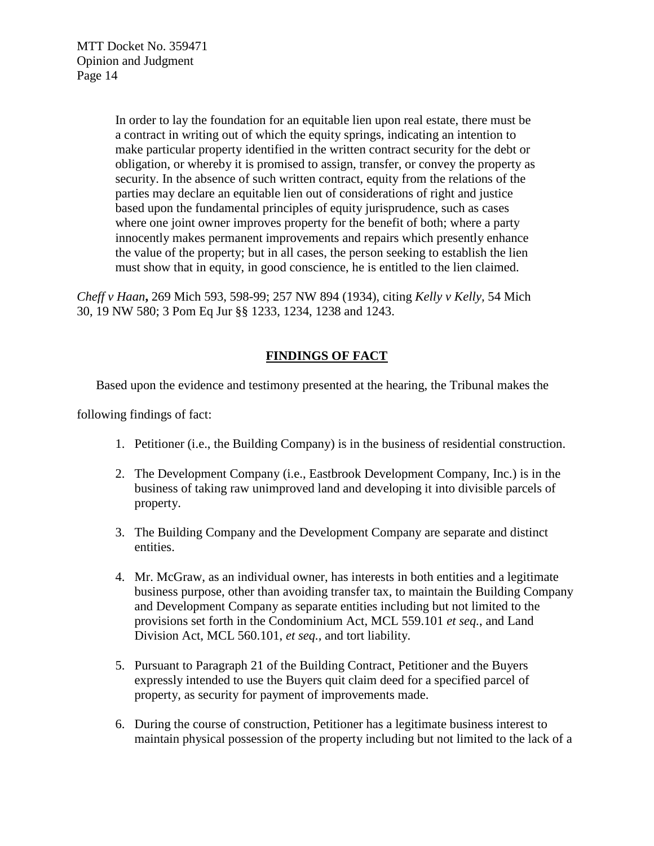In order to lay the foundation for an equitable lien upon real estate, there must be a contract in writing out of which the equity springs, indicating an intention to make particular property identified in the written contract security for the debt or obligation, or whereby it is promised to assign, transfer, or convey the property as security. In the absence of such written contract, equity from the relations of the parties may declare an equitable lien out of considerations of right and justice based upon the fundamental principles of equity jurisprudence, such as cases where one joint owner improves property for the benefit of both; where a party innocently makes permanent improvements and repairs which presently enhance the value of the property; but in all cases, the person seeking to establish the lien must show that in equity, in good conscience, he is entitled to the lien claimed.

*Cheff v Haan***,** 269 Mich 593, 598-99; 257 NW 894 (1934), citing *Kelly v Kelly,* 54 Mich 30, 19 NW 580; 3 Pom Eq Jur §§ 1233, 1234, 1238 and 1243.

# **FINDINGS OF FACT**

Based upon the evidence and testimony presented at the hearing, the Tribunal makes the

following findings of fact:

- 1. Petitioner (i.e., the Building Company) is in the business of residential construction.
- 2. The Development Company (i.e., Eastbrook Development Company, Inc.) is in the business of taking raw unimproved land and developing it into divisible parcels of property.
- 3. The Building Company and the Development Company are separate and distinct entities.
- 4. Mr. McGraw, as an individual owner, has interests in both entities and a legitimate business purpose, other than avoiding transfer tax, to maintain the Building Company and Development Company as separate entities including but not limited to the provisions set forth in the Condominium Act, MCL 559.101 *et seq.*, and Land Division Act, MCL 560.101, *et seq.,* and tort liability.
- 5. Pursuant to Paragraph 21 of the Building Contract, Petitioner and the Buyers expressly intended to use the Buyers quit claim deed for a specified parcel of property, as security for payment of improvements made.
- 6. During the course of construction, Petitioner has a legitimate business interest to maintain physical possession of the property including but not limited to the lack of a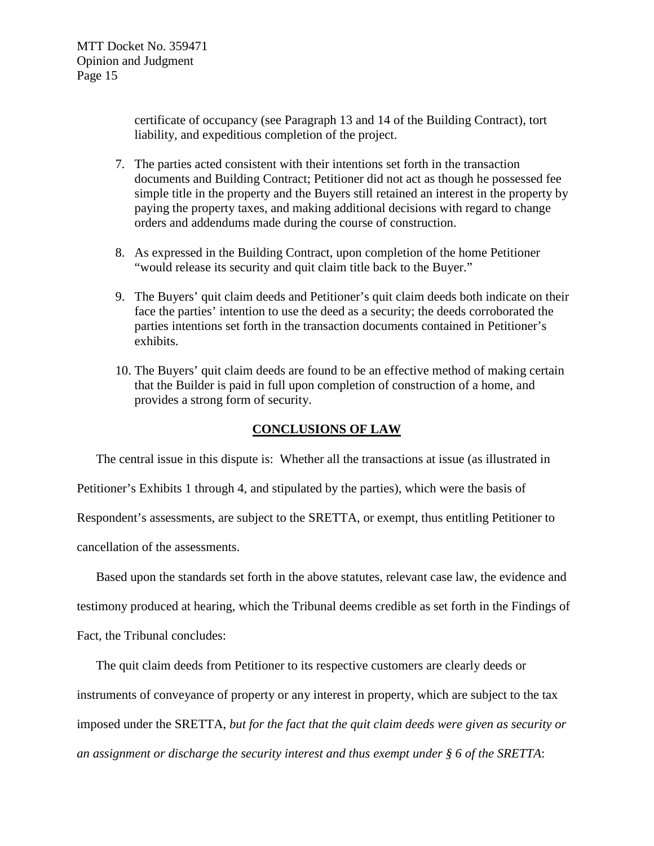certificate of occupancy (see Paragraph 13 and 14 of the Building Contract), tort liability, and expeditious completion of the project.

- 7. The parties acted consistent with their intentions set forth in the transaction documents and Building Contract; Petitioner did not act as though he possessed fee simple title in the property and the Buyers still retained an interest in the property by paying the property taxes, and making additional decisions with regard to change orders and addendums made during the course of construction.
- 8. As expressed in the Building Contract, upon completion of the home Petitioner "would release its security and quit claim title back to the Buyer."
- 9. The Buyers' quit claim deeds and Petitioner's quit claim deeds both indicate on their face the parties' intention to use the deed as a security; the deeds corroborated the parties intentions set forth in the transaction documents contained in Petitioner's exhibits.
- 10. The Buyers' quit claim deeds are found to be an effective method of making certain that the Builder is paid in full upon completion of construction of a home, and provides a strong form of security.

### **CONCLUSIONS OF LAW**

The central issue in this dispute is: Whether all the transactions at issue (as illustrated in Petitioner's Exhibits 1 through 4, and stipulated by the parties), which were the basis of Respondent's assessments, are subject to the SRETTA, or exempt, thus entitling Petitioner to cancellation of the assessments.

Based upon the standards set forth in the above statutes, relevant case law, the evidence and testimony produced at hearing, which the Tribunal deems credible as set forth in the Findings of Fact, the Tribunal concludes:

The quit claim deeds from Petitioner to its respective customers are clearly deeds or instruments of conveyance of property or any interest in property, which are subject to the tax imposed under the SRETTA, *but for the fact that the quit claim deeds were given as security or an assignment or discharge the security interest and thus exempt under § 6 of the SRETTA*: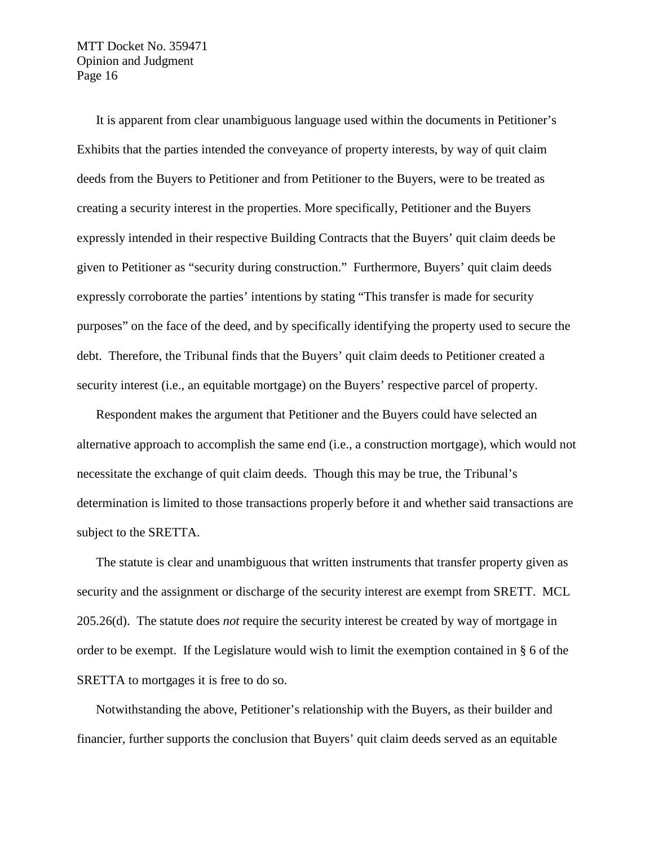It is apparent from clear unambiguous language used within the documents in Petitioner's Exhibits that the parties intended the conveyance of property interests, by way of quit claim deeds from the Buyers to Petitioner and from Petitioner to the Buyers, were to be treated as creating a security interest in the properties. More specifically, Petitioner and the Buyers expressly intended in their respective Building Contracts that the Buyers' quit claim deeds be given to Petitioner as "security during construction." Furthermore, Buyers' quit claim deeds expressly corroborate the parties' intentions by stating "This transfer is made for security purposes" on the face of the deed, and by specifically identifying the property used to secure the debt. Therefore, the Tribunal finds that the Buyers' quit claim deeds to Petitioner created a security interest (i.e., an equitable mortgage) on the Buyers' respective parcel of property.

Respondent makes the argument that Petitioner and the Buyers could have selected an alternative approach to accomplish the same end (i.e., a construction mortgage), which would not necessitate the exchange of quit claim deeds. Though this may be true, the Tribunal's determination is limited to those transactions properly before it and whether said transactions are subject to the SRETTA.

The statute is clear and unambiguous that written instruments that transfer property given as security and the assignment or discharge of the security interest are exempt from SRETT. MCL 205.26(d). The statute does *not* require the security interest be created by way of mortgage in order to be exempt. If the Legislature would wish to limit the exemption contained in § 6 of the SRETTA to mortgages it is free to do so.

Notwithstanding the above, Petitioner's relationship with the Buyers, as their builder and financier, further supports the conclusion that Buyers' quit claim deeds served as an equitable